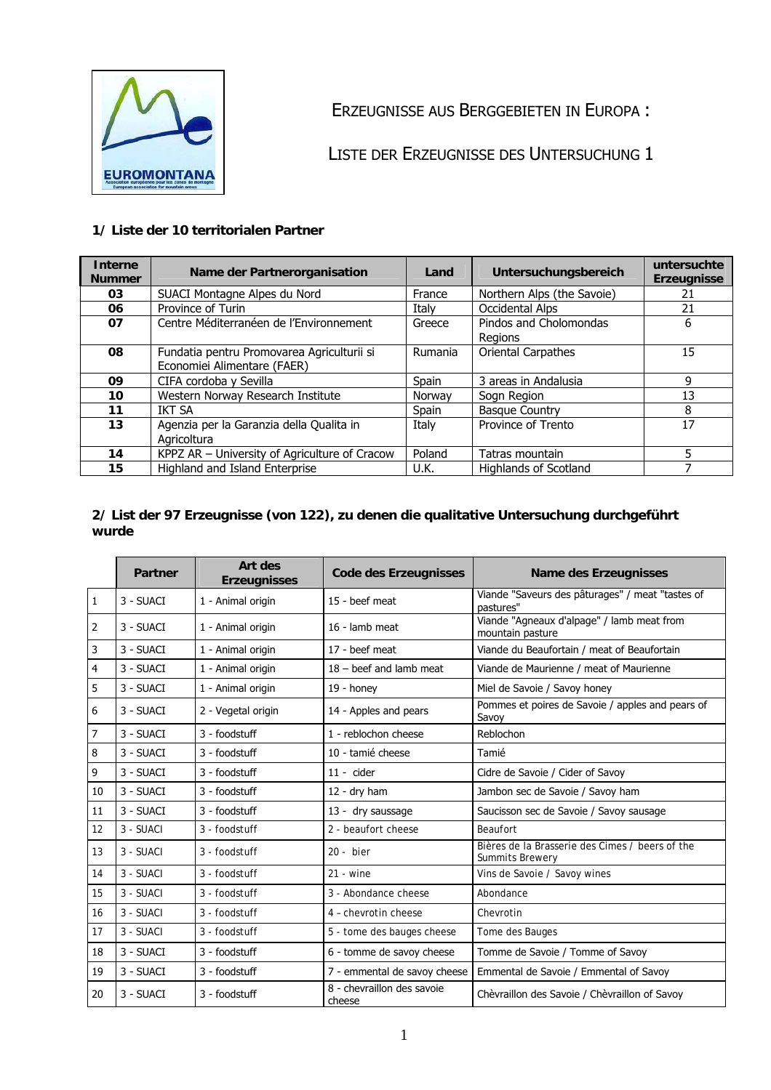

ERZEUGNISSE AUS BERGGEBIETEN IN EUROPA :

LISTE DER ERZEUGNISSE DES UNTERSUCHUNG 1

## **1/ Liste der 10 territorialen Partner**

| <b>Interne</b><br><b>Nummer</b> | Name der Partnerorganisation                                              | Land         | Untersuchungsbereich              | untersuchte<br><b>Erzeugnisse</b> |
|---------------------------------|---------------------------------------------------------------------------|--------------|-----------------------------------|-----------------------------------|
| 03                              | SUACI Montagne Alpes du Nord                                              | France       | Northern Alps (the Savoie)        | 21                                |
| 06                              | Province of Turin                                                         | Italy        | Occidental Alps                   | 21                                |
| 07                              | Centre Méditerranéen de l'Environnement                                   | Greece       | Pindos and Cholomondas<br>Regions | 6                                 |
| 08                              | Fundatia pentru Promovarea Agriculturii si<br>Economiei Alimentare (FAER) | Rumania      | Oriental Carpathes                | 15                                |
| 09                              | CIFA cordoba y Sevilla                                                    | <b>Spain</b> | 3 areas in Andalusia              | 9                                 |
| 10                              | Western Norway Research Institute                                         | Norway       | Sogn Region                       | 13                                |
| 11                              | <b>IKT SA</b>                                                             | <b>Spain</b> | <b>Basque Country</b>             | 8                                 |
| 13                              | Agenzia per la Garanzia della Qualita in<br>Agricoltura                   | Italy        | Province of Trento                | 17                                |
| 14                              | KPPZ AR - University of Agriculture of Cracow                             | Poland       | Tatras mountain                   | 5                                 |
| 15                              | Highland and Island Enterprise                                            | U.K.         | <b>Highlands of Scotland</b>      |                                   |

## **2/ List der 97 Erzeugnisse (von 122), zu denen die qualitative Untersuchung durchgeführt wurde**

|              | <b>Partner</b> | Art des<br><b>Erzeugnisses</b> | <b>Code des Erzeugnisses</b>         | <b>Name des Erzeugnisses</b>                                              |
|--------------|----------------|--------------------------------|--------------------------------------|---------------------------------------------------------------------------|
| $\mathbf{1}$ | 3 - SUACI      | 1 - Animal origin              | 15 - beef meat                       | Viande "Saveurs des pâturages" / meat "tastes of<br>pastures"             |
| 2            | 3 - SUACI      | 1 - Animal origin              | 16 - lamb meat                       | Viande "Agneaux d'alpage" / lamb meat from<br>mountain pasture            |
| 3            | 3 - SUACI      | 1 - Animal origin              | 17 - beef meat                       | Viande du Beaufortain / meat of Beaufortain                               |
| 4            | 3 - SUACI      | 1 - Animal origin              | $18 - \text{beef}$ and lamb meat     | Viande de Maurienne / meat of Maurienne                                   |
| 5            | 3 - SUACI      | 1 - Animal origin              | $19 -$ honey                         | Miel de Savoie / Savoy honey                                              |
| 6            | 3 - SUACI      | 2 - Vegetal origin             | 14 - Apples and pears                | Pommes et poires de Savoie / apples and pears of<br>Savoy                 |
| 7            | 3 - SUACI      | 3 - foodstuff                  | 1 - reblochon cheese                 | Reblochon                                                                 |
| 8            | 3 - SUACI      | 3 - foodstuff                  | 10 - tamié cheese                    | Tamié                                                                     |
| 9            | 3 - SUACI      | 3 - foodstuff                  | $11 -$ cider                         | Cidre de Savoie / Cider of Savoy                                          |
| 10           | 3 - SUACI      | 3 - foodstuff                  | $12 - dry$ ham                       | Jambon sec de Savoie / Savoy ham                                          |
| 11           | 3 - SUACI      | 3 - foodstuff                  | 13 - dry saussage                    | Saucisson sec de Savoie / Savoy sausage                                   |
| 12           | 3 - SUACI      | 3 - foodstuff                  | 2 - beaufort cheese                  | <b>Beaufort</b>                                                           |
| 13           | 3 - SUACI      | 3 - foodstuff                  | $20 - b$ ier                         | Bières de la Brasserie des Cimes / beers of the<br><b>Summits Brewery</b> |
| 14           | 3 - SUACI      | 3 - foodstuff                  | $21 -$ wine                          | Vins de Savoie / Savoy wines                                              |
| 15           | 3 - SUACI      | 3 - foodstuff                  | 3 - Abondance cheese                 | Abondance                                                                 |
| 16           | 3 - SUACI      | 3 - foodstuff                  | 4 - chevrotin cheese                 | Chevrotin                                                                 |
| 17           | 3 - SUACI      | 3 - foodstuff                  | 5 - tome des bauges cheese           | Tome des Bauges                                                           |
| 18           | 3 - SUACI      | 3 - foodstuff                  | 6 - tomme de savoy cheese            | Tomme de Savoie / Tomme of Savoy                                          |
| 19           | 3 - SUACI      | 3 - foodstuff                  | 7 - emmental de savoy cheese         | Emmental de Savoie / Emmental of Savoy                                    |
| 20           | 3 - SUACI      | 3 - foodstuff                  | 8 - chevraillon des savoie<br>cheese | Chèvraillon des Savoie / Chèvraillon of Savoy                             |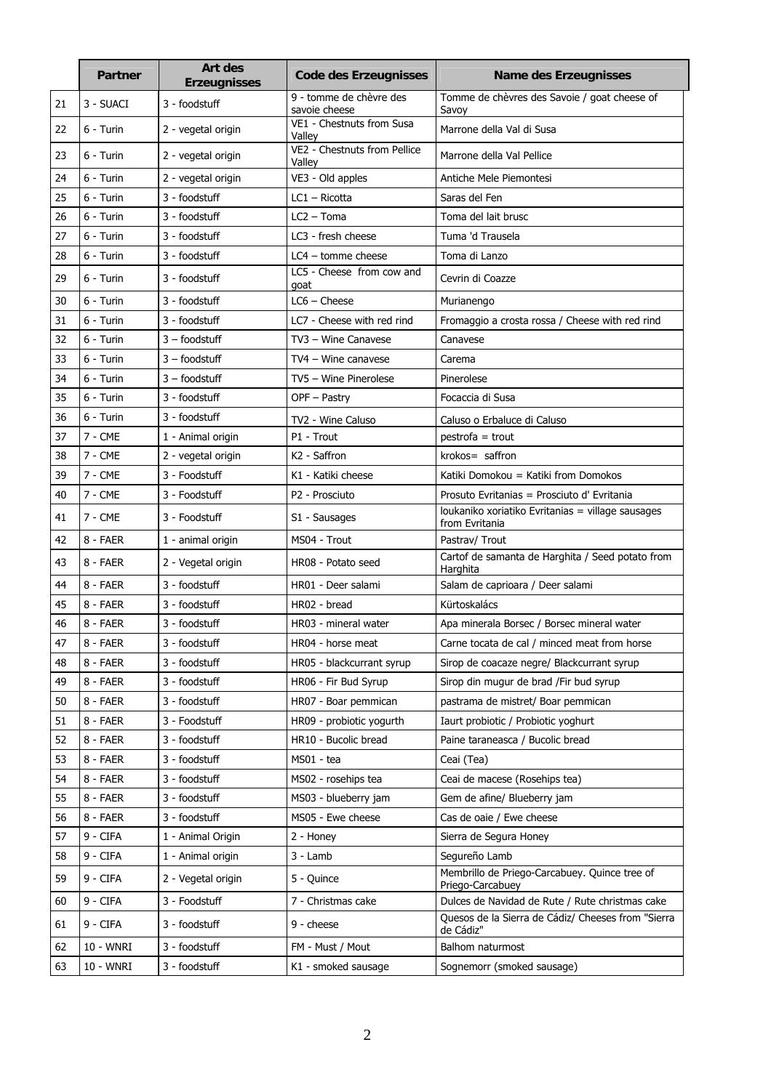|    | <b>Partner</b> | <b>Art des</b><br><b>Erzeugnisses</b> | <b>Code des Erzeugnisses</b>             | <b>Name des Erzeugnisses</b>                                        |
|----|----------------|---------------------------------------|------------------------------------------|---------------------------------------------------------------------|
| 21 | 3 - SUACI      | 3 - foodstuff                         | 9 - tomme de chèvre des<br>savoie cheese | Tomme de chèvres des Savoie / goat cheese of<br>Savoy               |
| 22 | $6 - Turin$    | 2 - vegetal origin                    | VE1 - Chestnuts from Susa<br>Valley      | Marrone della Val di Susa                                           |
| 23 | $6 - Turin$    | 2 - vegetal origin                    | VE2 - Chestnuts from Pellice<br>Valley   | Marrone della Val Pellice                                           |
| 24 | $6 - Turin$    | 2 - vegetal origin                    | VE3 - Old apples                         | Antiche Mele Piemontesi                                             |
| 25 | $6 - Turin$    | 3 - foodstuff                         | $LC1 - Ricotta$                          | Saras del Fen                                                       |
| 26 | $6 - Turin$    | 3 - foodstuff                         | $LC2 - Toma$                             | Toma del lait brusc                                                 |
| 27 | $6 - Turin$    | 3 - foodstuff                         | LC3 - fresh cheese                       | Tuma 'd Trausela                                                    |
| 28 | $6 - Turin$    | 3 - foodstuff                         | $LC4$ – tomme cheese                     | Toma di Lanzo                                                       |
| 29 | $6 - Turin$    | 3 - foodstuff                         | LC5 - Cheese from cow and<br>goat        | Cevrin di Coazze                                                    |
| 30 | 6 - Turin      | 3 - foodstuff                         | $LC6 -$ Cheese                           | Murianengo                                                          |
| 31 | $6 - Turin$    | 3 - foodstuff                         | LC7 - Cheese with red rind               | Fromaggio a crosta rossa / Cheese with red rind                     |
| 32 | $6 - Turin$    | $3 -$ foodstuff                       | TV3 - Wine Canavese                      | Canavese                                                            |
| 33 | $6 - Turin$    | $3 -$ foodstuff                       | TV4 - Wine canavese                      | Carema                                                              |
| 34 | $6 - Turin$    | $3 -$ foodstuff                       | TV5 - Wine Pinerolese                    | Pinerolese                                                          |
| 35 | 6 - Turin      | 3 - foodstuff                         | OPF - Pastry                             | Focaccia di Susa                                                    |
| 36 | $6 - Turin$    | 3 - foodstuff                         | TV2 - Wine Caluso                        | Caluso o Erbaluce di Caluso                                         |
| 37 | $7 - CME$      | 1 - Animal origin                     | P1 - Trout                               | $p$ estrofa = trout                                                 |
| 38 | $7 - CME$      | 2 - vegetal origin                    | K <sub>2</sub> - Saffron                 | krokos= saffron                                                     |
| 39 | $7 - CME$      | 3 - Foodstuff                         | K1 - Katiki cheese                       | Katiki Domokou = Katiki from Domokos                                |
| 40 | $7 - CME$      | 3 - Foodstuff                         | P2 - Prosciuto                           | Prosuto Evritanias = Prosciuto d' Evritania                         |
| 41 | 7 - CME        | 3 - Foodstuff                         | S1 - Sausages                            | loukaniko xoriatiko Evritanias = village sausages<br>from Evritania |
| 42 | 8 - FAER       | 1 - animal origin                     | MS04 - Trout                             | Pastrav/ Trout                                                      |
| 43 | 8 - FAER       | 2 - Vegetal origin                    | HR08 - Potato seed                       | Cartof de samanta de Harghita / Seed potato from<br>Harghita        |
| 44 | 8 - FAER       | 3 - foodstuff                         | HR01 - Deer salami                       | Salam de caprioara / Deer salami                                    |
| 45 | 8 - FAER       | 3 - foodstuff                         | HR02 - bread                             | Kürtoskalács                                                        |
| 46 | 8 - FAER       | 3 - foodstuff                         | HR03 - mineral water                     | Apa minerala Borsec / Borsec mineral water                          |
| 47 | 8 - FAER       | 3 - foodstuff                         | HR04 - horse meat                        | Carne tocata de cal / minced meat from horse                        |
| 48 | 8 - FAER       | 3 - foodstuff                         | HR05 - blackcurrant syrup                | Sirop de coacaze negre/ Blackcurrant syrup                          |
| 49 | 8 - FAER       | 3 - foodstuff                         | HR06 - Fir Bud Syrup                     | Sirop din mugur de brad /Fir bud syrup                              |
| 50 | 8 - FAER       | 3 - foodstuff                         | HR07 - Boar pemmican                     | pastrama de mistret/ Boar pemmican                                  |
| 51 | 8 - FAER       | 3 - Foodstuff                         | HR09 - probiotic yogurth                 | Iaurt probiotic / Probiotic yoghurt                                 |
| 52 | 8 - FAER       | 3 - foodstuff                         | HR10 - Bucolic bread                     | Paine taraneasca / Bucolic bread                                    |
| 53 | 8 - FAER       | 3 - foodstuff                         | MS01 - tea                               | Ceai (Tea)                                                          |
| 54 | 8 - FAER       | 3 - foodstuff                         | MS02 - rosehips tea                      | Ceai de macese (Rosehips tea)                                       |
| 55 | 8 - FAER       | 3 - foodstuff                         | MS03 - blueberry jam                     | Gem de afine/ Blueberry jam                                         |
| 56 | 8 - FAER       | 3 - foodstuff                         | MS05 - Ewe cheese                        | Cas de oaie / Ewe cheese                                            |
| 57 | 9 - CIFA       | 1 - Animal Origin                     | 2 - Honey                                | Sierra de Segura Honey                                              |
| 58 | 9 - CIFA       | 1 - Animal origin                     | $3 -$ Lamb                               | Segureño Lamb                                                       |
| 59 | 9 - CIFA       | 2 - Vegetal origin                    | 5 - Quince                               | Membrillo de Priego-Carcabuey. Quince tree of<br>Priego-Carcabuey   |
| 60 | 9 - CIFA       | 3 - Foodstuff                         | 7 - Christmas cake                       | Dulces de Navidad de Rute / Rute christmas cake                     |
| 61 | 9 - CIFA       | 3 - foodstuff                         | 9 - cheese                               | Quesos de la Sierra de Cádiz/ Cheeses from "Sierra<br>de Cádiz"     |
| 62 | 10 - WNRI      | 3 - foodstuff                         | FM - Must / Mout                         | Balhom naturmost                                                    |
| 63 | 10 - WNRI      | 3 - foodstuff                         | K1 - smoked sausage                      | Sognemorr (smoked sausage)                                          |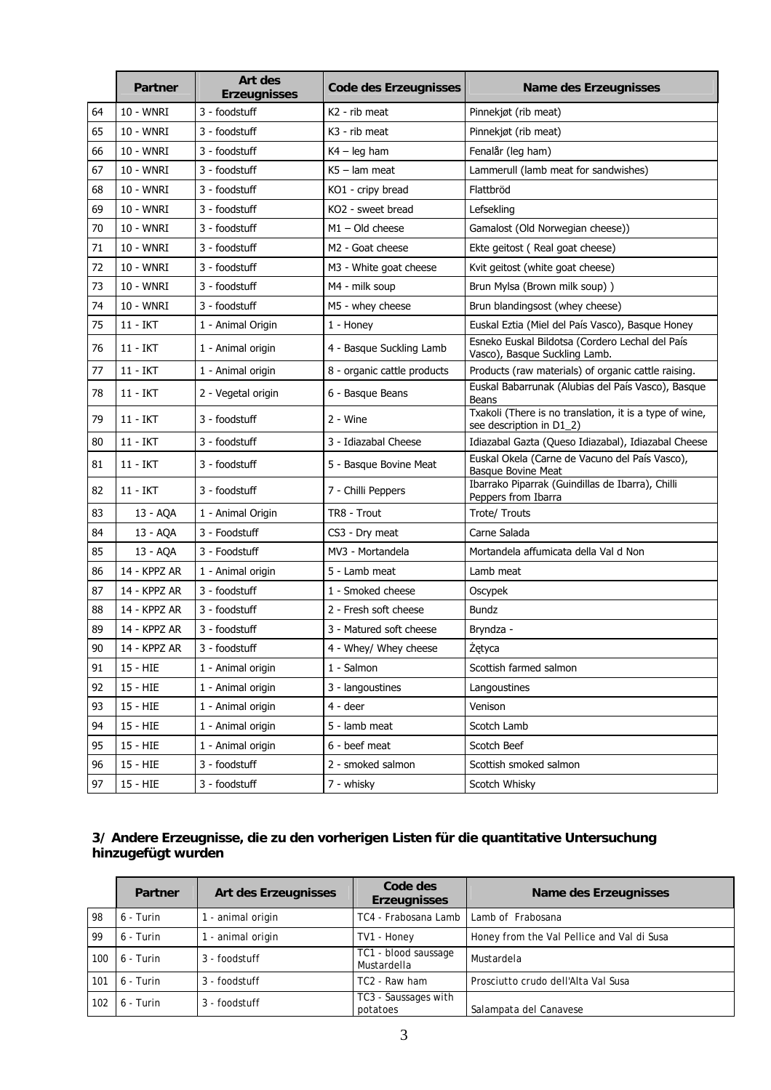|    | <b>Partner</b> | Art des<br><b>Erzeugnisses</b> | <b>Code des Erzeugnisses</b> | <b>Name des Erzeugnisses</b>                                                        |
|----|----------------|--------------------------------|------------------------------|-------------------------------------------------------------------------------------|
| 64 | 10 - WNRI      | 3 - foodstuff                  | K <sub>2</sub> - rib meat    | Pinnekjøt (rib meat)                                                                |
| 65 | 10 - WNRI      | 3 - foodstuff                  | K <sub>3</sub> - rib meat    | Pinnekjøt (rib meat)                                                                |
| 66 | 10 - WNRI      | 3 - foodstuff                  | $K4 - leg$ ham               | Fenalår (leg ham)                                                                   |
| 67 | 10 - WNRI      | 3 - foodstuff                  | $K5$ – lam meat              | Lammerull (lamb meat for sandwishes)                                                |
| 68 | 10 - WNRI      | 3 - foodstuff                  | KO1 - cripy bread            | Flattbröd                                                                           |
| 69 | 10 - WNRI      | 3 - foodstuff                  | KO2 - sweet bread            | Lefsekling                                                                          |
| 70 | 10 - WNRI      | 3 - foodstuff                  | $M1 - Old cheese$            | Gamalost (Old Norwegian cheese))                                                    |
| 71 | 10 - WNRI      | 3 - foodstuff                  | M <sub>2</sub> - Goat cheese | Ekte geitost (Real goat cheese)                                                     |
| 72 | 10 - WNRI      | 3 - foodstuff                  | M3 - White goat cheese       | Kvit geitost (white goat cheese)                                                    |
| 73 | 10 - WNRI      | 3 - foodstuff                  | M4 - milk soup               | Brun Mylsa (Brown milk soup))                                                       |
| 74 | 10 - WNRI      | 3 - foodstuff                  | M5 - whey cheese             | Brun blandingsost (whey cheese)                                                     |
| 75 | 11 - IKT       | 1 - Animal Origin              | 1 - Honey                    | Euskal Eztia (Miel del País Vasco), Basque Honey                                    |
| 76 | 11 - IKT       | 1 - Animal origin              | 4 - Basque Suckling Lamb     | Esneko Euskal Bildotsa (Cordero Lechal del País<br>Vasco), Basque Suckling Lamb.    |
| 77 | 11 - IKT       | 1 - Animal origin              | 8 - organic cattle products  | Products (raw materials) of organic cattle raising.                                 |
| 78 | 11 - IKT       | 2 - Vegetal origin             | 6 - Basque Beans             | Euskal Babarrunak (Alubias del País Vasco), Basque<br>Beans                         |
| 79 | 11 - IKT       | 3 - foodstuff                  | $2 -$ Wine                   | Txakoli (There is no translation, it is a type of wine,<br>see description in D1_2) |
| 80 | 11 - IKT       | 3 - foodstuff                  | 3 - Idiazabal Cheese         | Idiazabal Gazta (Queso Idiazabal), Idiazabal Cheese                                 |
| 81 | 11 - IKT       | 3 - foodstuff                  | 5 - Basque Bovine Meat       | Euskal Okela (Carne de Vacuno del País Vasco),<br><b>Basque Bovine Meat</b>         |
| 82 | 11 - IKT       | 3 - foodstuff                  | 7 - Chilli Peppers           | Ibarrako Piparrak (Guindillas de Ibarra), Chilli<br>Peppers from Ibarra             |
| 83 | 13 - AQA       | 1 - Animal Origin              | TR8 - Trout                  | Trote/ Trouts                                                                       |
| 84 | 13 - AQA       | 3 - Foodstuff                  | CS3 - Dry meat               | Carne Salada                                                                        |
| 85 | 13 - AQA       | 3 - Foodstuff                  | MV3 - Mortandela             | Mortandela affumicata della Val d Non                                               |
| 86 | 14 - KPPZ AR   | 1 - Animal origin              | 5 - Lamb meat                | Lamb meat                                                                           |
| 87 | 14 - KPPZ AR   | 3 - foodstuff                  | 1 - Smoked cheese            | Oscypek                                                                             |
| 88 | 14 - KPPZ AR   | 3 - foodstuff                  | 2 - Fresh soft cheese        | Bundz                                                                               |
| 89 | 14 - KPPZ AR   | 3 - foodstuff                  | 3 - Matured soft cheese      | Bryndza -                                                                           |
| 90 | 14 - KPPZ AR   | 3 - foodstuff                  | 4 - Whey/ Whey cheese        | Żętyca                                                                              |
| 91 | 15 - HIE       | 1 - Animal origin              | 1 - Salmon                   | Scottish farmed salmon                                                              |
| 92 | 15 - HIE       | 1 - Animal origin              | 3 - langoustines             | Langoustines                                                                        |
| 93 | 15 - HIE       | 1 - Animal origin              | $4 -$ deer                   | Venison                                                                             |
| 94 | 15 - HIE       | 1 - Animal origin              | 5 - lamb meat                | Scotch Lamb                                                                         |
| 95 | 15 - HIE       | 1 - Animal origin              | 6 - beef meat                | Scotch Beef                                                                         |
| 96 | 15 - HIE       | 3 - foodstuff                  | 2 - smoked salmon            | Scottish smoked salmon                                                              |
| 97 | 15 - HIE       | 3 - foodstuff                  | 7 - whisky                   | Scotch Whisky                                                                       |

## **3/ Andere Erzeugnisse, die zu den vorherigen Listen für die quantitative Untersuchung hinzugefügt wurden**

|     | <b>Partner</b> | <b>Art des Erzeugnisses</b> | Code des<br><b>Erzeugnisses</b>     | <b>Name des Erzeugnisses</b>               |
|-----|----------------|-----------------------------|-------------------------------------|--------------------------------------------|
| 98  | 6 - Turin      | - animal origin             | TC4 - Frabosana Lamb                | Lamb of Frabosana                          |
| 99  | 6 - Turin      | - animal origin             | TV1 - Honey                         | Honey from the Val Pellice and Val di Susa |
| 100 | 6 - Turin      | 3 - foodstuff               | TC1 - blood saussage<br>Mustardella | Mustardela                                 |
| 101 | 6 - Turin      | 3 - foodstuff               | TC2 - Raw ham                       | Prosciutto crudo dell'Alta Val Susa        |
| 102 | 6 - Turin      | 3 - foodstuff               | TC3 - Saussages with<br>potatoes    | Salampata del Canavese                     |